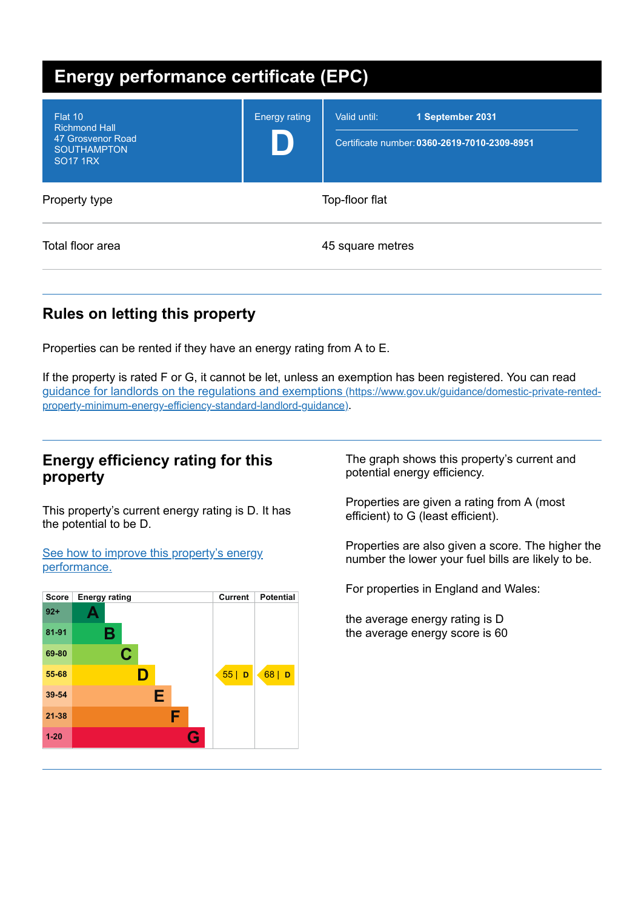| <b>Energy performance certificate (EPC)</b>                                                   |                      |                                                                                  |
|-----------------------------------------------------------------------------------------------|----------------------|----------------------------------------------------------------------------------|
| Flat 10<br><b>Richmond Hall</b><br>47 Grosvenor Road<br><b>SOUTHAMPTON</b><br><b>SO17 1RX</b> | <b>Energy rating</b> | Valid until:<br>1 September 2031<br>Certificate number: 0360-2619-7010-2309-8951 |
| Property type                                                                                 |                      | Top-floor flat                                                                   |
| Total floor area                                                                              |                      | 45 square metres                                                                 |

# **Rules on letting this property**

Properties can be rented if they have an energy rating from A to E.

If the property is rated F or G, it cannot be let, unless an exemption has been registered. You can read guidance for landlords on the regulations and exemptions (https://www.gov.uk/guidance/domestic-private-rented[property-minimum-energy-efficiency-standard-landlord-guidance\)](https://www.gov.uk/guidance/domestic-private-rented-property-minimum-energy-efficiency-standard-landlord-guidance).

### **Energy efficiency rating for this property**

This property's current energy rating is D. It has the potential to be D.

See how to improve this property's energy [performance.](#page-2-0)



The graph shows this property's current and potential energy efficiency.

Properties are given a rating from A (most efficient) to G (least efficient).

Properties are also given a score. The higher the number the lower your fuel bills are likely to be.

For properties in England and Wales:

the average energy rating is D the average energy score is 60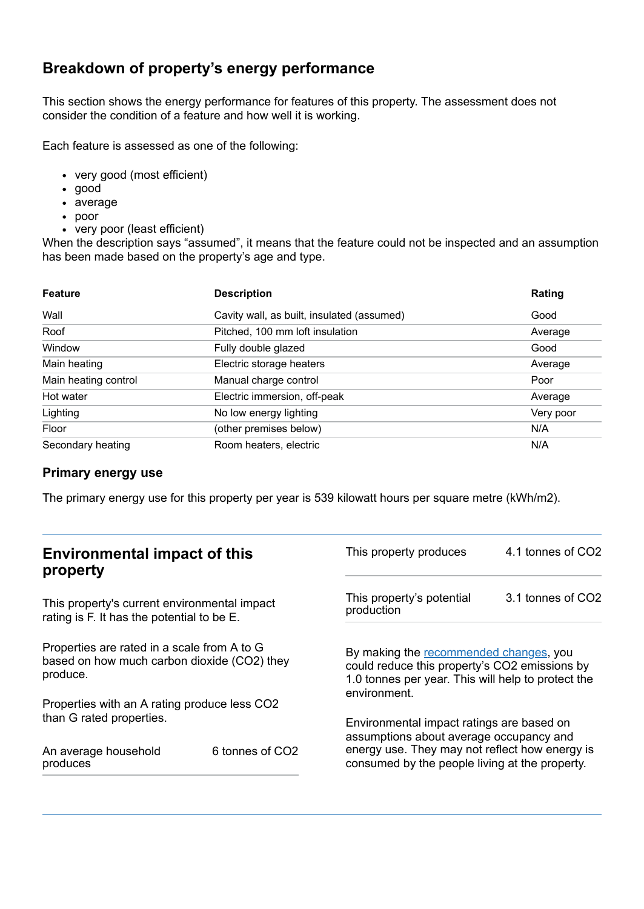# **Breakdown of property's energy performance**

This section shows the energy performance for features of this property. The assessment does not consider the condition of a feature and how well it is working.

Each feature is assessed as one of the following:

- very good (most efficient)
- good
- average
- poor
- very poor (least efficient)

When the description says "assumed", it means that the feature could not be inspected and an assumption has been made based on the property's age and type.

| <b>Feature</b>       | <b>Description</b>                         | Rating    |
|----------------------|--------------------------------------------|-----------|
| Wall                 | Cavity wall, as built, insulated (assumed) | Good      |
| Roof                 | Pitched, 100 mm loft insulation            | Average   |
| Window               | Fully double glazed                        | Good      |
| Main heating         | Electric storage heaters                   | Average   |
| Main heating control | Manual charge control                      | Poor      |
| Hot water            | Electric immersion, off-peak               | Average   |
| Lighting             | No low energy lighting                     | Very poor |
| Floor                | (other premises below)                     | N/A       |
| Secondary heating    | Room heaters, electric                     | N/A       |

#### **Primary energy use**

The primary energy use for this property per year is 539 kilowatt hours per square metre (kWh/m2).

| <b>Environmental impact of this</b><br>property                                                        |                             | This property produces                                                                                                                                        | 4.1 tonnes of CO2 |
|--------------------------------------------------------------------------------------------------------|-----------------------------|---------------------------------------------------------------------------------------------------------------------------------------------------------------|-------------------|
| This property's current environmental impact<br>rating is F. It has the potential to be E.             |                             | This property's potential<br>production                                                                                                                       | 3.1 tonnes of CO2 |
| Properties are rated in a scale from A to G<br>based on how much carbon dioxide (CO2) they<br>produce. |                             | By making the recommended changes, you<br>could reduce this property's CO2 emissions by<br>1.0 tonnes per year. This will help to protect the<br>environment. |                   |
| Properties with an A rating produce less CO2                                                           |                             |                                                                                                                                                               |                   |
| than G rated properties.                                                                               |                             | Environmental impact ratings are based on<br>assumptions about average occupancy and                                                                          |                   |
| An average household<br>produces                                                                       | 6 tonnes of CO <sub>2</sub> | energy use. They may not reflect how energy is<br>consumed by the people living at the property.                                                              |                   |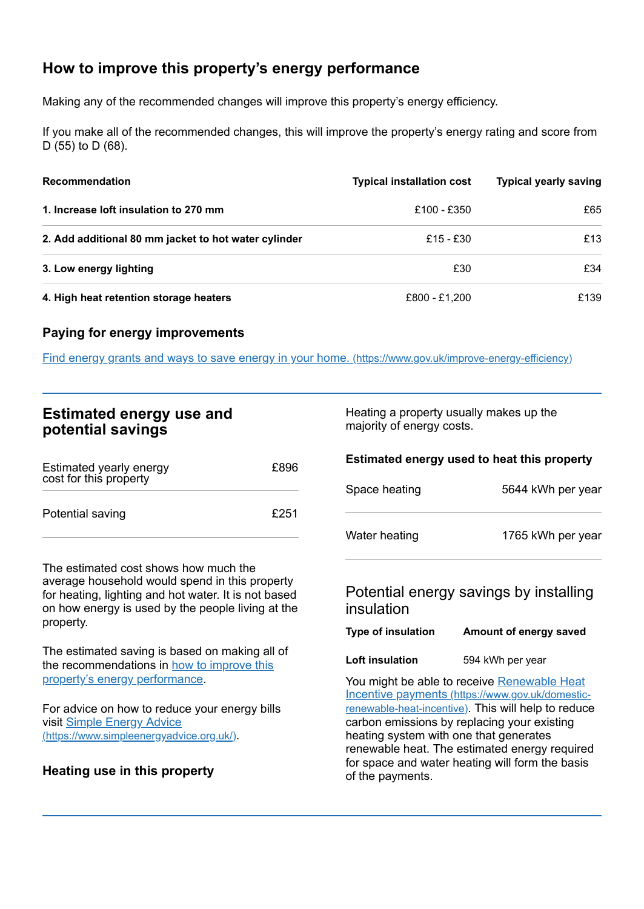# <span id="page-2-0"></span>**How to improve this property's energy performance**

Making any of the recommended changes will improve this property's energy efficiency.

If you make all of the recommended changes, this will improve the property's energy rating and score from D (55) to D (68).

| <b>Recommendation</b>                                | <b>Typical installation cost</b> | <b>Typical yearly saving</b> |
|------------------------------------------------------|----------------------------------|------------------------------|
| 1. Increase loft insulation to 270 mm                | £100 - £350                      | £65                          |
| 2. Add additional 80 mm jacket to hot water cylinder | £15 - £30                        | £13                          |
| 3. Low energy lighting                               | £30                              | £34                          |
| 4. High heat retention storage heaters               | £800 - £1,200                    | £139                         |

#### **Paying for energy improvements**

Find energy grants and ways to save energy in your home. [\(https://www.gov.uk/improve-energy-efficiency\)](https://www.gov.uk/improve-energy-efficiency)

## **Estimated energy use and potential savings**

| Estimated yearly energy<br>cost for this property | £896 |
|---------------------------------------------------|------|
| Potential saving                                  | £251 |

The estimated cost shows how much the average household would spend in this property for heating, lighting and hot water. It is not based on how energy is used by the people living at the property.

The estimated saving is based on making all of the [recommendations](#page-2-0) in how to improve this property's energy performance.

For advice on how to reduce your energy bills visit Simple Energy Advice [\(https://www.simpleenergyadvice.org.uk/\)](https://www.simpleenergyadvice.org.uk/).

#### **Heating use in this property**

Heating a property usually makes up the majority of energy costs.

#### **Estimated energy used to heat this property**

| Space heating | 5644 kWh per year |
|---------------|-------------------|
| Water heating | 1765 kWh per year |

## Potential energy savings by installing insulation

| <b>Type of insulation</b> | Amount of energy saved |
|---------------------------|------------------------|
|---------------------------|------------------------|

**Loft insulation** 594 kWh per year

You might be able to receive Renewable Heat Incentive payments [\(https://www.gov.uk/domestic](https://www.gov.uk/domestic-renewable-heat-incentive)renewable-heat-incentive). This will help to reduce carbon emissions by replacing your existing heating system with one that generates renewable heat. The estimated energy required for space and water heating will form the basis of the payments.